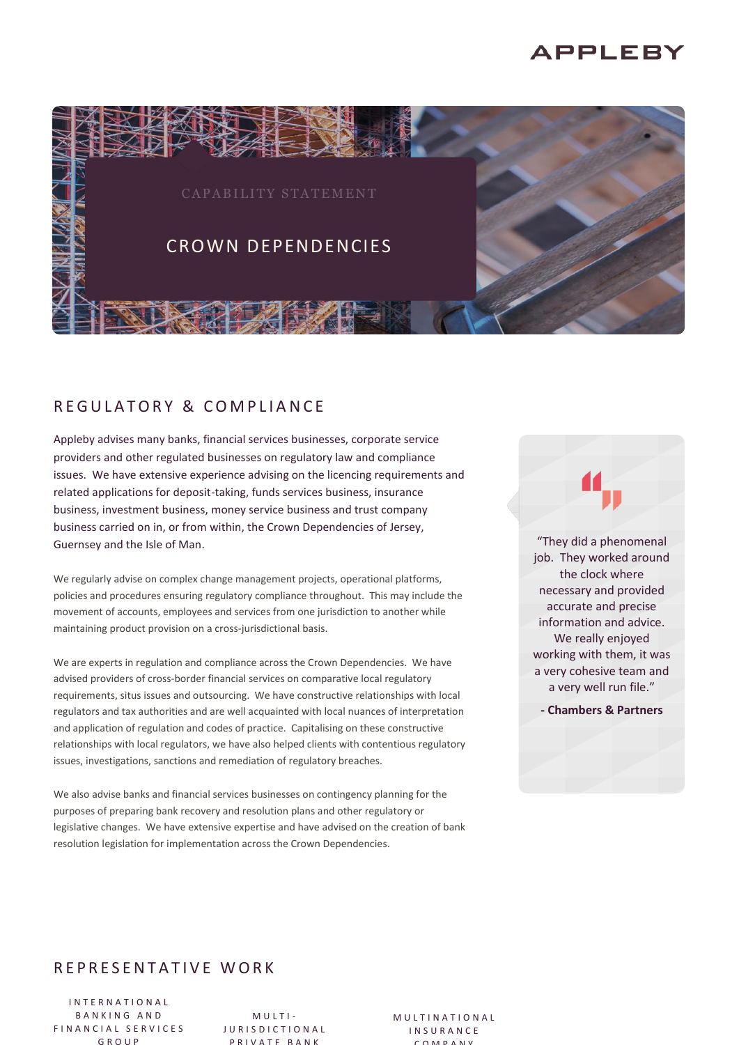# **APPLEBY**



## REGULATORY & COMPLIANCE

Appleby advises many banks, financial services businesses, corporate service providers and other regulated businesses on regulatory law and compliance issues. We have extensive experience advising on the licencing requirements and related applications for deposit-taking, funds services business, insurance business, investment business, money service business and trust company business carried on in, or from within, the Crown Dependencies of Jersey, Guernsey and the Isle of Man.

We regularly advise on complex change management projects, operational platforms, policies and procedures ensuring regulatory compliance throughout. This may include the movement of accounts, employees and services from one jurisdiction to another while maintaining product provision on a cross-jurisdictional basis.

We are experts in regulation and compliance across the Crown Dependencies. We have advised providers of cross-border financial services on comparative local regulatory requirements, situs issues and outsourcing. We have constructive relationships with local regulators and tax authorities and are well acquainted with local nuances of interpretation and application of regulation and codes of practice. Capitalising on these constructive relationships with local regulators, we have also helped clients with contentious regulatory issues, investigations, sanctions and remediation of regulatory breaches.

We also advise banks and financial services businesses on contingency planning for the purposes of preparing bank recovery and resolution plans and other regulatory or legislative changes. We have extensive expertise and have advised on the creation of bank resolution legislation for implementation across the Crown Dependencies.



a very cohesive team and a very well run file."

**- Chambers & Partners**

## REPRESENTATIVE WORK

I N T E R N A T I O N A L B A N K I N G A N D F I N A N C I A L S E R V I C E S G R O U P

 $M \cup T$ J U R I S D I C T I O N A L P R I V A T E B A N K

M U L T I N A T I O N A L I N S U R A N C E C O M P A N Y